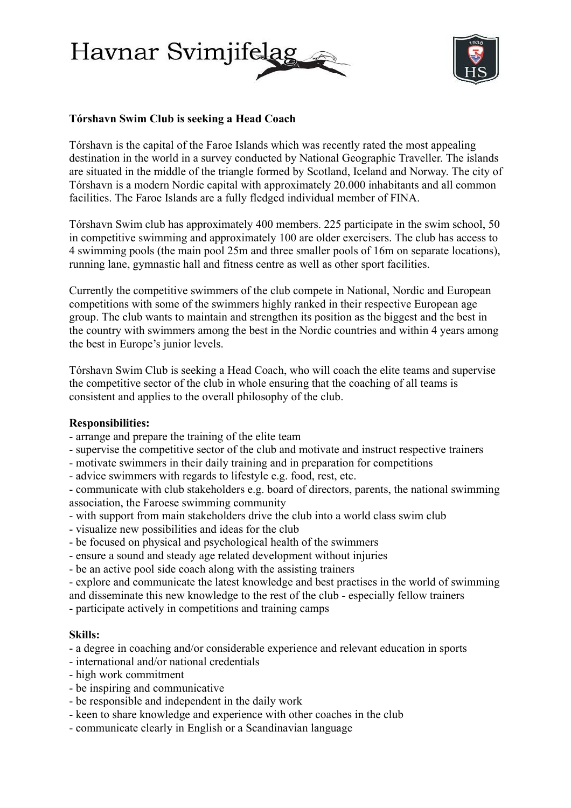



# **Tórshavn Swim Club is seeking a Head Coach**

Tórshavn is the capital of the Faroe Islands which was recently rated the most appealing destination in the world in a survey conducted by National Geographic Traveller. The islands are situated in the middle of the triangle formed by Scotland, Iceland and Norway. The city of Tórshavn is a modern Nordic capital with approximately 20.000 inhabitants and all common facilities. The Faroe Islands are a fully fledged individual member of FINA.

Tórshavn Swim club has approximately 400 members. 225 participate in the swim school, 50 in competitive swimming and approximately 100 are older exercisers. The club has access to 4 swimming pools (the main pool 25m and three smaller pools of 16m on separate locations), running lane, gymnastic hall and fitness centre as well as other sport facilities.

Currently the competitive swimmers of the club compete in National, Nordic and European competitions with some of the swimmers highly ranked in their respective European age group. The club wants to maintain and strengthen its position as the biggest and the best in the country with swimmers among the best in the Nordic countries and within 4 years among the best in Europe's junior levels.

Tórshavn Swim Club is seeking a Head Coach, who will coach the elite teams and supervise the competitive sector of the club in whole ensuring that the coaching of all teams is consistent and applies to the overall philosophy of the club.

## **Responsibilities:**

- arrange and prepare the training of the elite team
- supervise the competitive sector of the club and motivate and instruct respective trainers
- motivate swimmers in their daily training and in preparation for competitions
- advice swimmers with regards to lifestyle e.g. food, rest, etc.

- communicate with club stakeholders e.g. board of directors, parents, the national swimming association, the Faroese swimming community

- with support from main stakeholders drive the club into a world class swim club
- visualize new possibilities and ideas for the club
- be focused on physical and psychological health of the swimmers
- ensure a sound and steady age related development without injuries
- be an active pool side coach along with the assisting trainers

- explore and communicate the latest knowledge and best practises in the world of swimming and disseminate this new knowledge to the rest of the club - especially fellow trainers

- participate actively in competitions and training camps

### **Skills:**

- a degree in coaching and/or considerable experience and relevant education in sports

- international and/or national credentials
- high work commitment
- be inspiring and communicative
- be responsible and independent in the daily work
- keen to share knowledge and experience with other coaches in the club
- communicate clearly in English or a Scandinavian language